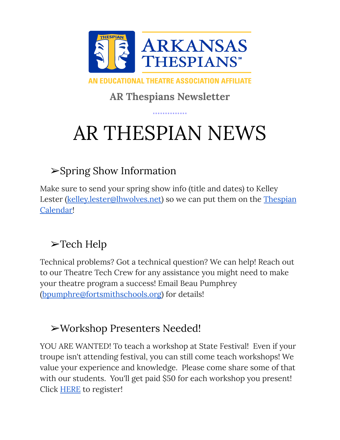

AN EDUCATIONAL THEATRE ASSOCIATION AFFILIATE

**AR Thespians Newsletter**

# AR THESPIAN NEWS

### ➢Spring Show Information

Make sure to send your spring show info (title and dates) to Kelley Lester [\(kelley.lester@lhwolves.net\)](mailto:kelley.lester@lhwolves.net) so we can put them on the [Thespian](https://calendar.google.com/calendar/u/0/embed?src=64aelndchnkfqooqdiup1kl04k@group.calendar.google.com&ctz=America/Chicago) [Calendar!](https://calendar.google.com/calendar/u/0/embed?src=64aelndchnkfqooqdiup1kl04k@group.calendar.google.com&ctz=America/Chicago)

### ➢Tech Help

Technical problems? Got a technical question? We can help! Reach out to our Theatre Tech Crew for any assistance you might need to make your theatre program a success! Email Beau Pumphrey [\(bpumphre@fortsmithschools.org\)](mailto:bpumphre@fortsmithschools.org) for details!

### ➢Workshop Presenters Needed!

YOU ARE WANTED! To teach a workshop at State Festival! Even if your troupe isn't attending festival, you can still come teach workshops! We value your experience and knowledge. Please come share some of that with our students. You'll get paid \$50 for each workshop you present! Click [HERE](https://forms.gle/WSvFEZQp8xUTJUgr9) to register!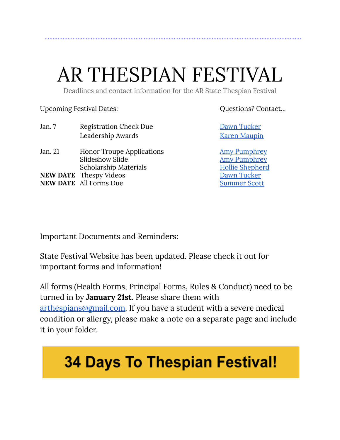# AR THESPIAN FESTIVAL

Deadlines and contact information for the AR State Thespian Festival

Upcoming Festival Dates:  $Q$ uestions? Contact...

| Jan. 7  | <b>Registration Check Due</b>    | Dawn Tucker            |
|---------|----------------------------------|------------------------|
|         | Leadership Awards                | <b>Karen Maupin</b>    |
| Jan. 21 | <b>Honor Troupe Applications</b> | <b>Amy Pumphrey</b>    |
|         | Slideshow Slide                  | <b>Amy Pumphrey</b>    |
|         | <b>Scholarship Materials</b>     | <b>Hollie Shepherd</b> |
|         | <b>NEW DATE</b> Thespy Videos    | Dawn Tucker            |
|         | <b>NEW DATE</b> All Forms Due    | <b>Summer Scott</b>    |

Important Documents and Reminders:

State Festival Website has been updated. Please check it out for important forms and information!

All forms (Health Forms, Principal Forms, Rules & Conduct) need to be turned in by **January 21st**. Please share them with [arthespians@gmail.com.](mailto:arthespians@gmail.com) If you have a student with a severe medical condition or allergy, please make a note on a separate page and include it in your folder.

## **34 Days To Thespian Festival!**